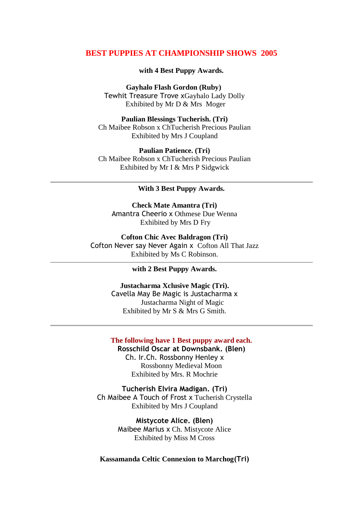## **BEST PUPPIES AT CHAMPIONSHIP SHOWS 2005**

### **with 4 Best Puppy Awards.**

**Gayhalo Flash Gordon (Ruby)** Tewhit Treasure Trove xGayhalo Lady Dolly Exhibited by Mr D & Mrs Moger

**Paulian Blessings Tucherish. (Tri)** Ch Maibee Robson x ChTucherish Precious Paulian Exhibited by Mrs J Coupland

**Paulian Patience. (Tri)** Ch Maibee Robson x ChTucherish Precious Paulian Exhibited by Mr I & Mrs P Sidgwick

#### **With 3 Best Puppy Awards.**

**Check Mate Amantra (Tri)** Amantra Cheerio x Othmese Due Wenna Exhibited by Mrs D Fry

**Cofton Chic Avec Baldragon (Tri)** Cofton Never say Never Again x Cofton All That Jazz Exhibited by Ms C Robinson.

**with 2 Best Puppy Awards.**

**Justacharma Xclusive Magic (Tri).** Cavella May Be Magic is Justacharma x Justacharma Night of Magic Exhibited by Mr S & Mrs G Smith.

#### **The following have 1 Best puppy award each. Rosschild Oscar at Downsbank. (Blen)**

Ch. Ir.Ch. Rossbonny Henley x Rossbonny Medieval Moon Exhibited by Mrs. R Mochrie

**Tucherish Elvira Madigan. (Tri)** Ch Maibee A Touch of Frost x Tucherish Crystella Exhibited by Mrs J Coupland

> **Mistycote Alice. (Blen)** Maibee Marius x Ch. Mistycote Alice Exhibited by Miss M Cross

**Kassamanda Celtic Connexion to Marchog(Tri)**